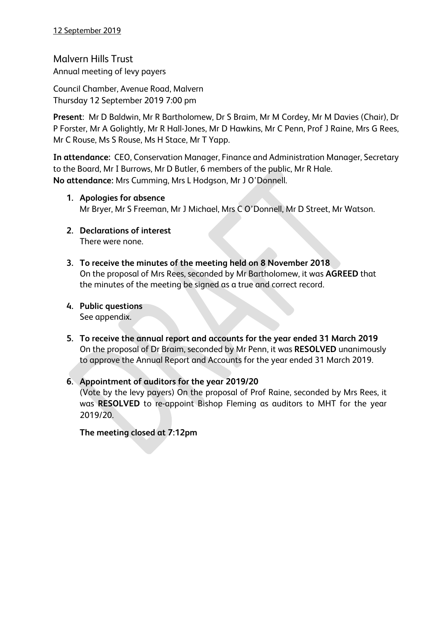Malvern Hills Trust Annual meeting of levy payers

Council Chamber, Avenue Road, Malvern Thursday 12 September 2019 7:00 pm

**Present**: Mr D Baldwin, Mr R Bartholomew, Dr S Braim, Mr M Cordey, Mr M Davies (Chair), Dr P Forster, Mr A Golightly, Mr R Hall-Jones, Mr D Hawkins, Mr C Penn, Prof J Raine, Mrs G Rees, Mr C Rouse, Ms S Rouse, Ms H Stace, Mr T Yapp.

**In attendance:** CEO, Conservation Manager, Finance and Administration Manager, Secretary to the Board, Mr I Burrows, Mr D Butler, 6 members of the public, Mr R Hale. **No attendance:** Mrs Cumming, Mrs L Hodgson, Mr J O'Donnell.

- **1. Apologies for absence** Mr Bryer, Mr S Freeman, Mr J Michael, Mrs C O'Donnell, Mr D Street, Mr Watson.
- **2. Declarations of interest** There were none.
- **3. To receive the minutes of the meeting held on 8 November 2018** On the proposal of Mrs Rees, seconded by Mr Bartholomew, it was **AGREED** that the minutes of the meeting be signed as a true and correct record.
- **4. Public questions** See appendix.
- **5. To receive the annual report and accounts for the year ended 31 March 2019** On the proposal of Dr Braim, seconded by Mr Penn, it was **RESOLVED** unanimously to approve the Annual Report and Accounts for the year ended 31 March 2019.
- **6. Appointment of auditors for the year 2019/20** (Vote by the levy payers) On the proposal of Prof Raine, seconded by Mrs Rees, it was **RESOLVED** to re-appoint Bishop Fleming as auditors to MHT for the year 2019/20.

**The meeting closed at 7:12pm**